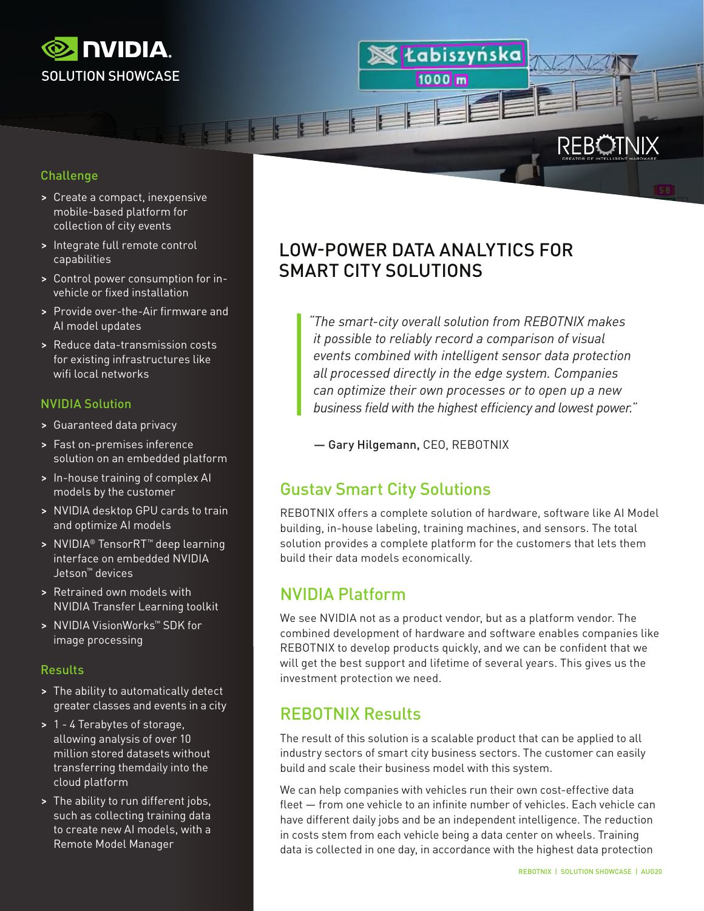

### Challenge

- > Create a compact, inexpensive mobile-based platform for collection of city events
- > Integrate full remote control capabilities
- > Control power consumption for invehicle or fixed installation
- > Provide over-the-Air firmware and AI model updates
- > Reduce data-transmission costs for existing infrastructures like wifi local networks

### NVIDIA Solution

- > Guaranteed data privacy
- > Fast on-premises inference solution on an embedded platform
- > In-house training of complex AI models by the customer
- > NVIDIA desktop GPU cards to train and optimize AI models
- > NVIDIA® TensorRT™ deep learning interface on embedded NVIDIA Jetson™ devices
- > Retrained own models with NVIDIA Transfer Learning toolkit
- > NVIDIA VisionWorks™ SDK for image processing

#### Results

- > The ability to automatically detect greater classes and events in a city
- > 1 4 Terabytes of storage, allowing analysis of over 10 million stored datasets without transferring themdaily into the cloud platform
- > The ability to run different jobs, such as collecting training data to create new AI models, with a Remote Model Manager

# LOW-POWER DATA ANALYTICS FOR SMART CITY SOLUTIONS

*"The smart-city overall solution from REBOTNIX makes it possible to reliably record a comparison of visual events combined with intelligent sensor data protection all processed directly in the edge system. Companies can optimize their own processes or to open up a new business field with the highest efficiency and lowest power."*

tabiszyńska

**RFB** 

1000 m

— Gary Hilgemann, CEO, REBOTNIX

# Gustav Smart City Solutions

REBOTNIX offers a complete solution of hardware, software like AI Model building, in-house labeling, training machines, and sensors. The total solution provides a complete platform for the customers that lets them build their data models economically.

# NVIDIA Platform

**18 8 8 8** 

We see NVIDIA not as a product vendor, but as a platform vendor. The combined development of hardware and software enables companies like REBOTNIX to develop products quickly, and we can be confident that we will get the best support and lifetime of several years. This gives us the investment protection we need.

# REBOTNIX Results

The result of this solution is a scalable product that can be applied to all industry sectors of smart city business sectors. The customer can easily build and scale their business model with this system.

We can help companies with vehicles run their own cost-effective data fleet — from one vehicle to an infinite number of vehicles. Each vehicle can have different daily jobs and be an independent intelligence. The reduction in costs stem from each vehicle being a data center on wheels. Training data is collected in one day, in accordance with the highest data protection